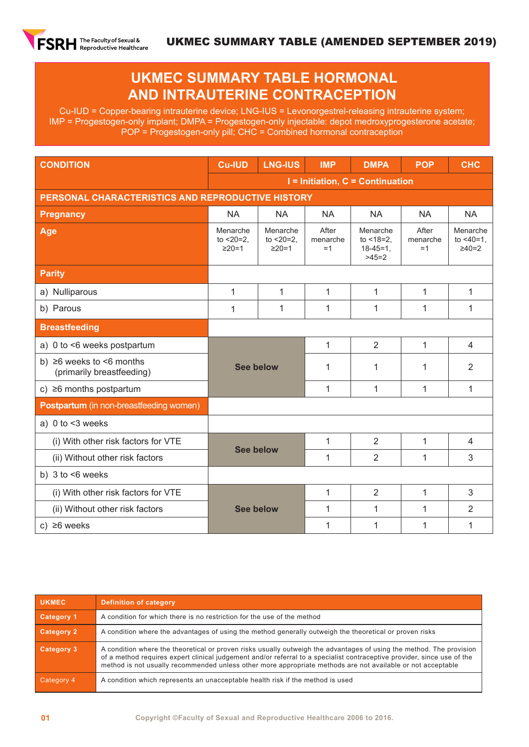

## **UKMEC SUMMARY TABLE HORMONAL AND INTRAUTERINE CONTRACEPTION**

Cu-IUD = Copper-bearing intrauterine device; LNG-IUS = Levonorgestrel-releasing intrauterine system; IMP = Progestogen-only implant; DMPA = Progestogen-only injectable: depot medroxyprogesterone acetate; POP = Progestogen-only pill; CHC = Combined hormonal contraception

| <b>CONDITION</b>                                            | <b>Cu-IUD</b>                                     | <b>LNG-IUS</b>                             | <b>IMP</b>                       | <b>DMPA</b>                                            | <b>POP</b>                | <b>CHC</b>                              |  |  |  |
|-------------------------------------------------------------|---------------------------------------------------|--------------------------------------------|----------------------------------|--------------------------------------------------------|---------------------------|-----------------------------------------|--|--|--|
|                                                             |                                                   |                                            | I = Initiation, C = Continuation |                                                        |                           |                                         |  |  |  |
|                                                             | PERSONAL CHARACTERISTICS AND REPRODUCTIVE HISTORY |                                            |                                  |                                                        |                           |                                         |  |  |  |
| <b>Pregnancy</b>                                            | <b>NA</b>                                         | <b>NA</b>                                  | <b>NA</b>                        | <b>NA</b>                                              | <b>NA</b>                 | <b>NA</b>                               |  |  |  |
| Age                                                         | Menarche<br>to $< 20 = 2$ .<br>$\geq$ 20=1        | Menarche<br>to $< 20 = 2$ .<br>$\geq$ 20=1 | After<br>menarche<br>$=1$        | Menarche<br>to $<$ 18=2.<br>$18 - 45 = 1$ ,<br>$>45=2$ | After<br>menarche<br>$=1$ | Menarche<br>to $<40=1$ ,<br>$\geq 40=2$ |  |  |  |
| <b>Parity</b>                                               |                                                   |                                            |                                  |                                                        |                           |                                         |  |  |  |
| a) Nulliparous                                              | $\mathbf{1}$                                      | $\mathbf{1}$                               | 1                                | $\mathbf{1}$                                           | 1                         | 1                                       |  |  |  |
| b) Parous                                                   | 1                                                 | 1                                          | 1                                | 1                                                      | 1                         | 1                                       |  |  |  |
| <b>Breastfeeding</b>                                        |                                                   |                                            |                                  |                                                        |                           |                                         |  |  |  |
| a) 0 to <6 weeks postpartum                                 |                                                   |                                            | $\mathbf{1}$                     | $\overline{2}$                                         | 1                         | $\overline{4}$                          |  |  |  |
| b) $\geq 6$ weeks to <6 months<br>(primarily breastfeeding) | <b>See below</b>                                  |                                            | 1                                | 1                                                      | 1                         | $\overline{2}$                          |  |  |  |
| c) $\geq 6$ months postpartum                               |                                                   |                                            | 1                                | 1                                                      | 1                         | $\mathbf{1}$                            |  |  |  |
| <b>Postpartum</b> (in non-breastfeeding women)              |                                                   |                                            |                                  |                                                        |                           |                                         |  |  |  |
| a) $0$ to $<$ 3 weeks                                       |                                                   |                                            |                                  |                                                        |                           |                                         |  |  |  |
| (i) With other risk factors for VTE                         | <b>See below</b>                                  |                                            | 1                                | $\overline{2}$                                         | 1                         | $\overline{4}$                          |  |  |  |
| (ii) Without other risk factors                             |                                                   |                                            | 1                                | $\overline{2}$                                         | 1                         | 3                                       |  |  |  |
| b) $3$ to $\leq 6$ weeks                                    |                                                   |                                            |                                  |                                                        |                           |                                         |  |  |  |
| (i) With other risk factors for VTE                         |                                                   |                                            | 1                                | $\overline{2}$                                         | 1                         | 3                                       |  |  |  |
| (ii) Without other risk factors                             | <b>See below</b>                                  |                                            | 1                                | $\mathbf{1}$                                           | 1                         | $\overline{2}$                          |  |  |  |
| c) $\geq 6$ weeks                                           |                                                   |                                            | 1                                | 1                                                      | 1                         | 1                                       |  |  |  |

| <b>UKMEC</b>      | <b>Definition of category</b>                                                                                                                                                                                                                                                                                                                                  |
|-------------------|----------------------------------------------------------------------------------------------------------------------------------------------------------------------------------------------------------------------------------------------------------------------------------------------------------------------------------------------------------------|
| Category 1        | A condition for which there is no restriction for the use of the method                                                                                                                                                                                                                                                                                        |
| Category 2        | A condition where the advantages of using the method generally outweigh the theoretical or proven risks                                                                                                                                                                                                                                                        |
| <b>Category 3</b> | A condition where the theoretical or proven risks usually outweigh the advantages of using the method. The provision<br>of a method requires expert clinical judgement and/or referral to a specialist contraceptive provider, since use of the<br>method is not usually recommended unless other more appropriate methods are not available or not acceptable |
| Category 4        | A condition which represents an unacceptable health risk if the method is used                                                                                                                                                                                                                                                                                 |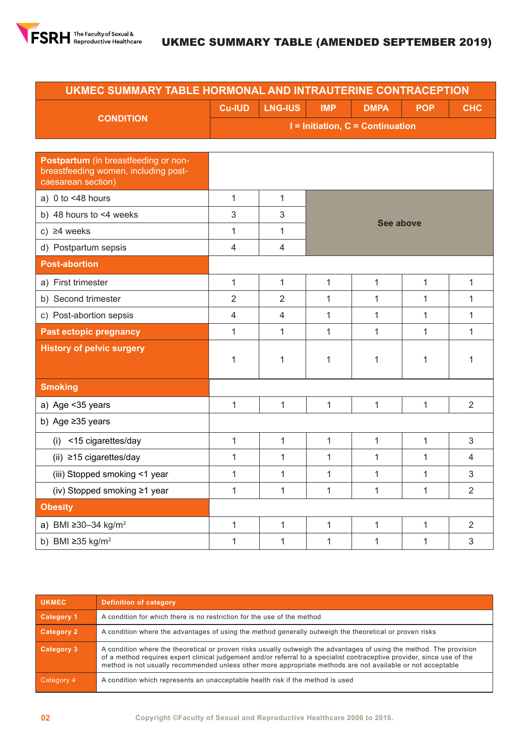

| UKMEC SUMMARY TABLE HORMONAL AND INTRAUTERINE CONTRACEPTION                                        |                                                                                          |                |              |              |              |                |  |  |  |  |
|----------------------------------------------------------------------------------------------------|------------------------------------------------------------------------------------------|----------------|--------------|--------------|--------------|----------------|--|--|--|--|
|                                                                                                    | <b>Cu-IUD</b><br><b>LNG-IUS</b><br><b>IMP</b><br><b>DMPA</b><br><b>POP</b><br><b>CHC</b> |                |              |              |              |                |  |  |  |  |
| <b>CONDITION</b>                                                                                   | $I =$ Initiation, $C =$ Continuation                                                     |                |              |              |              |                |  |  |  |  |
|                                                                                                    |                                                                                          |                |              |              |              |                |  |  |  |  |
| Postpartum (in breastfeeding or non-<br>breastfeeding women, including post-<br>caesarean section) |                                                                                          |                |              |              |              |                |  |  |  |  |
| a) $0$ to <48 hours                                                                                | $\mathbf{1}$                                                                             | 1              |              |              |              |                |  |  |  |  |
| b) 48 hours to $<$ 4 weeks                                                                         | 3                                                                                        | 3              |              | See above    |              |                |  |  |  |  |
| c) $\geq 4$ weeks                                                                                  | $\mathbf{1}$                                                                             | 1              |              |              |              |                |  |  |  |  |
| d) Postpartum sepsis                                                                               | 4                                                                                        | 4              |              |              |              |                |  |  |  |  |
| <b>Post-abortion</b>                                                                               |                                                                                          |                |              |              |              |                |  |  |  |  |
| a) First trimester                                                                                 | $\mathbf{1}$                                                                             | $\mathbf{1}$   | $\mathbf{1}$ | $\mathbf{1}$ | $\mathbf{1}$ | 1              |  |  |  |  |
| b) Second trimester                                                                                | $\overline{2}$                                                                           | $\overline{2}$ | 1            | 1            | 1            | 1              |  |  |  |  |
| c) Post-abortion sepsis                                                                            | 4                                                                                        | 4              | 1            | 1            | 1            | 1              |  |  |  |  |
| <b>Past ectopic pregnancy</b>                                                                      | 1                                                                                        | 1              | 1            | 1            | 1            | 1              |  |  |  |  |
| <b>History of pelvic surgery</b>                                                                   | $\mathbf{1}$                                                                             | 1              | 1            | 1            | 1            | 1              |  |  |  |  |
| <b>Smoking</b>                                                                                     |                                                                                          |                |              |              |              |                |  |  |  |  |
| a) Age < 35 years                                                                                  | $\mathbf{1}$                                                                             | $\mathbf{1}$   | 1            | 1            | 1            | $\overline{2}$ |  |  |  |  |
| b) Age $\geq$ 35 years                                                                             |                                                                                          |                |              |              |              |                |  |  |  |  |
| <15 cigarettes/day<br>(i)                                                                          | $\mathbf{1}$                                                                             | $\mathbf{1}$   | $\mathbf{1}$ | 1            | $\mathbf{1}$ | 3              |  |  |  |  |
| (ii) $\geq$ 15 cigarettes/day                                                                      | $\mathbf{1}$                                                                             | $\mathbf{1}$   | $\mathbf{1}$ | 1            | 1            | 4              |  |  |  |  |
| (iii) Stopped smoking <1 year                                                                      | 1                                                                                        | $\mathbf{1}$   | 1            | 1            | 1            | 3              |  |  |  |  |
| (iv) Stopped smoking ≥1 year                                                                       | 1                                                                                        | 1              | $\mathbf{1}$ | 1            | 1            | $\overline{2}$ |  |  |  |  |
| <b>Obesity</b>                                                                                     |                                                                                          |                |              |              |              |                |  |  |  |  |
| a) BMI ≥30-34 kg/m <sup>2</sup>                                                                    | $\mathbf{1}$                                                                             | $\mathbf{1}$   | $\mathbf{1}$ | $\mathbf{1}$ | $\mathbf{1}$ | $\overline{2}$ |  |  |  |  |
| b) BMI $\geq$ 35 kg/m <sup>2</sup>                                                                 | $\mathbf 1$                                                                              | 1              | $\mathbf{1}$ | 1            | 1            | 3              |  |  |  |  |

| <b>UKMEC</b> | <b>Definition of category</b>                                                                                                                                                                                                                                                                                                                                  |
|--------------|----------------------------------------------------------------------------------------------------------------------------------------------------------------------------------------------------------------------------------------------------------------------------------------------------------------------------------------------------------------|
| Category 1   | A condition for which there is no restriction for the use of the method                                                                                                                                                                                                                                                                                        |
| Category 2   | A condition where the advantages of using the method generally outweigh the theoretical or proven risks                                                                                                                                                                                                                                                        |
| Category 3   | A condition where the theoretical or proven risks usually outweigh the advantages of using the method. The provision<br>of a method requires expert clinical judgement and/or referral to a specialist contraceptive provider, since use of the<br>method is not usually recommended unless other more appropriate methods are not available or not acceptable |
| Category 4   | A condition which represents an unacceptable health risk if the method is used                                                                                                                                                                                                                                                                                 |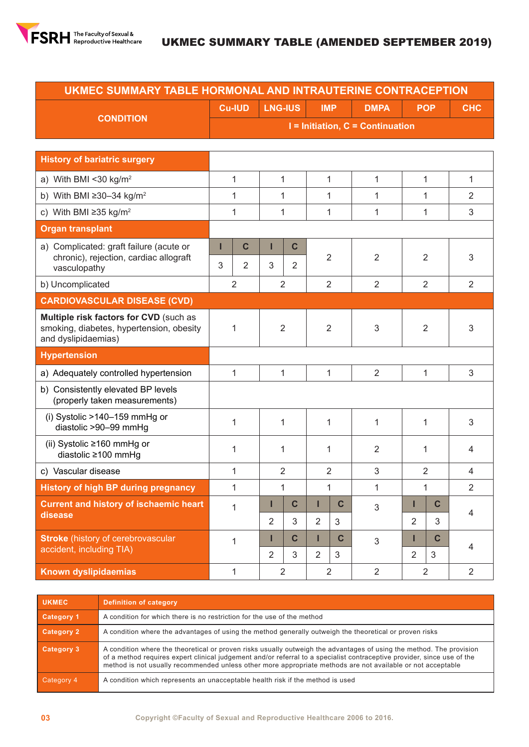

| UKMEC SUMMARY TABLE HORMONAL AND INTRAUTERINE CONTRACEPTION                                               |                                      |                |                     |                  |                     |                  |                |                     |                |                |
|-----------------------------------------------------------------------------------------------------------|--------------------------------------|----------------|---------------------|------------------|---------------------|------------------|----------------|---------------------|----------------|----------------|
|                                                                                                           |                                      | <b>Cu-IUD</b>  | <b>LNG-IUS</b>      |                  | <b>IMP</b>          |                  | <b>DMPA</b>    |                     | <b>POP</b>     | <b>CHC</b>     |
| <b>CONDITION</b>                                                                                          | $I =$ Initiation, $C =$ Continuation |                |                     |                  |                     |                  |                |                     |                |                |
|                                                                                                           |                                      |                |                     |                  |                     |                  |                |                     |                |                |
| <b>History of bariatric surgery</b>                                                                       |                                      |                |                     |                  |                     |                  |                |                     |                |                |
| a) With BMI <30 $kg/m2$                                                                                   |                                      | 1              | 1                   |                  | $\mathbf{1}$        |                  | $\mathbf{1}$   |                     | 1              | 1              |
| b) With BMI $\geq 30-34$ kg/m <sup>2</sup>                                                                |                                      | 1              | 1                   |                  | 1                   |                  | 1              |                     | 1              | $\overline{2}$ |
| c) With BMI $\geq$ 35 kg/m <sup>2</sup>                                                                   |                                      | $\mathbf{1}$   | $\mathbf{1}$        |                  | $\mathbf{1}$        |                  | 1              |                     | 1              | 3              |
| <b>Organ transplant</b>                                                                                   |                                      |                |                     |                  |                     |                  |                |                     |                |                |
| a) Complicated: graft failure (acute or                                                                   | П                                    | $\mathbf c$    | П                   | $\mathbf C$      |                     |                  |                |                     |                |                |
| chronic), rejection, cardiac allograft<br>vasculopathy                                                    | 3                                    | $\overline{2}$ | 3                   | $\overline{2}$   | 2                   |                  | 2              |                     | $\overline{2}$ | 3              |
| b) Uncomplicated                                                                                          | $\overline{2}$                       |                | $\overline{2}$      |                  | $\overline{2}$      |                  | $\overline{2}$ |                     | 2              | $\overline{2}$ |
| <b>CARDIOVASCULAR DISEASE (CVD)</b>                                                                       |                                      |                |                     |                  |                     |                  |                |                     |                |                |
| Multiple risk factors for CVD (such as<br>smoking, diabetes, hypertension, obesity<br>and dyslipidaemias) | 1                                    |                |                     | 2                |                     | $\overline{2}$   | 3              | $\overline{2}$      |                | 3              |
| <b>Hypertension</b>                                                                                       |                                      |                |                     |                  |                     |                  |                |                     |                |                |
| a) Adequately controlled hypertension                                                                     |                                      | 1              | $\mathbf{1}$        |                  | 1                   |                  | $\overline{2}$ |                     | 1              | 3              |
| b) Consistently elevated BP levels<br>(properly taken measurements)                                       |                                      |                |                     |                  |                     |                  |                |                     |                |                |
| (i) Systolic >140-159 mmHg or<br>diastolic >90-99 mmHg                                                    | 1                                    |                | 1                   |                  | 1                   |                  | 1              | 1                   |                | 3              |
| (ii) Systolic ≥160 mmHg or<br>diastolic ≥100 mmHg                                                         | 1                                    |                | 1                   |                  | 1                   |                  | 2              | 1                   |                | 4              |
| c) Vascular disease                                                                                       |                                      | 1              | $\overline{2}$      |                  | $\overline{2}$      |                  | 3              |                     | $\overline{2}$ | 4              |
| <b>History of high BP during pregnancy</b>                                                                |                                      | $\mathbf{1}$   | $\mathbf{1}$        |                  | $\mathbf{1}$        |                  | $\mathbf{1}$   |                     | 1              | 2              |
| <b>Current and history of ischaemic heart</b><br>disease                                                  |                                      | $\mathbf{1}$   | Π<br>$\overline{2}$ | $\mathbf C$<br>3 | ı<br>$\overline{2}$ | $\mathbf c$<br>3 | 3              | Π<br>$\overline{2}$ | C<br>3         | 4              |
| <b>Stroke</b> (history of cerebrovascular                                                                 |                                      | $\mathbf{1}$   | Ш                   | $\mathbf c$      | г                   | $\mathbf{C}$     | 3              | Ш                   | $\mathbf C$    |                |
| accident, including TIA)                                                                                  |                                      |                | $\overline{2}$      | 3                | $\overline{2}$<br>3 |                  |                | $\overline{2}$      | 3              | 4              |
| Known dyslipidaemias                                                                                      |                                      | $\mathbf{1}$   | $\overline{2}$      |                  | $\overline{2}$      |                  | $\overline{2}$ | $\overline{2}$      |                | $\overline{2}$ |

| <b>UKMEC</b>      | <b>Definition of category</b>                                                                                                                                                                                                                                                                                                                                  |
|-------------------|----------------------------------------------------------------------------------------------------------------------------------------------------------------------------------------------------------------------------------------------------------------------------------------------------------------------------------------------------------------|
| Category 1        | A condition for which there is no restriction for the use of the method                                                                                                                                                                                                                                                                                        |
| Category 2        | A condition where the advantages of using the method generally outweigh the theoretical or proven risks                                                                                                                                                                                                                                                        |
| <b>Category 3</b> | A condition where the theoretical or proven risks usually outweigh the advantages of using the method. The provision<br>of a method requires expert clinical judgement and/or referral to a specialist contraceptive provider, since use of the<br>method is not usually recommended unless other more appropriate methods are not available or not acceptable |
| Category 4        | A condition which represents an unacceptable health risk if the method is used                                                                                                                                                                                                                                                                                 |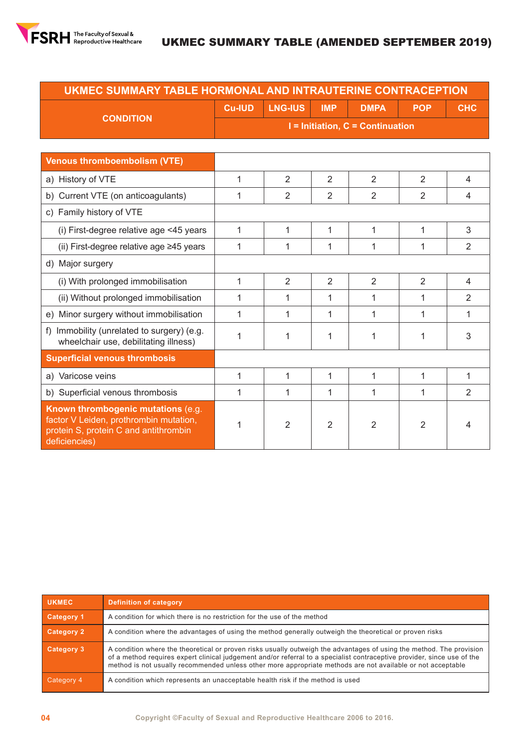

| UKMEC SUMMARY TABLE HORMONAL AND INTRAUTERINE CONTRACEPTION                                                                            |               |                |                |                                      |                |                |  |  |  |
|----------------------------------------------------------------------------------------------------------------------------------------|---------------|----------------|----------------|--------------------------------------|----------------|----------------|--|--|--|
|                                                                                                                                        | <b>Cu-IUD</b> | <b>LNG-IUS</b> | <b>IMP</b>     | <b>DMPA</b>                          | <b>POP</b>     | <b>CHC</b>     |  |  |  |
| <b>CONDITION</b>                                                                                                                       |               |                |                | $I =$ Initiation, $C =$ Continuation |                |                |  |  |  |
|                                                                                                                                        |               |                |                |                                      |                |                |  |  |  |
| <b>Venous thromboembolism (VTE)</b>                                                                                                    |               |                |                |                                      |                |                |  |  |  |
| a) History of VTE                                                                                                                      | 1             | $\overline{2}$ | $\overline{2}$ | $\overline{2}$                       | 2              | $\overline{4}$ |  |  |  |
| b) Current VTE (on anticoagulants)                                                                                                     | 1             | $\overline{2}$ | $\overline{2}$ | $\overline{2}$                       | $\overline{2}$ | 4              |  |  |  |
| c) Family history of VTE                                                                                                               |               |                |                |                                      |                |                |  |  |  |
| (i) First-degree relative age <45 years                                                                                                | $\mathbf{1}$  | $\mathbf{1}$   | 1              | 1                                    | $\mathbf{1}$   | 3              |  |  |  |
| (ii) First-degree relative age ≥45 years                                                                                               | 1             | 1              | 1              | 1                                    | 1              | $\overline{2}$ |  |  |  |
| d) Major surgery                                                                                                                       |               |                |                |                                      |                |                |  |  |  |
| (i) With prolonged immobilisation                                                                                                      | 1             | $\overline{2}$ | $\overline{2}$ | $\overline{2}$                       | $\overline{2}$ | $\overline{4}$ |  |  |  |
| (ii) Without prolonged immobilisation                                                                                                  | 1             | $\mathbf{1}$   | 1              | 1                                    | 1              | 2              |  |  |  |
| e) Minor surgery without immobilisation                                                                                                | 1             | 1              | 1              | 1                                    | 1              | 1              |  |  |  |
| Immobility (unrelated to surgery) (e.g.<br>f<br>wheelchair use, debilitating illness)                                                  | 1             | 1              | 1              | 1                                    | 1              | 3              |  |  |  |
| <b>Superficial venous thrombosis</b>                                                                                                   |               |                |                |                                      |                |                |  |  |  |
| a) Varicose veins                                                                                                                      | $\mathbf{1}$  | $\mathbf{1}$   | $\mathbf{1}$   | $\mathbf{1}$                         | 1              | $\mathbf{1}$   |  |  |  |
| b) Superficial venous thrombosis                                                                                                       | 1             | 1              | 1              | 1                                    | 1              | 2              |  |  |  |
| Known thrombogenic mutations (e.g.<br>factor V Leiden, prothrombin mutation,<br>protein S, protein C and antithrombin<br>deficiencies) | 1             | $\overline{2}$ | $\overline{2}$ | $\overline{2}$                       | 2              | 4              |  |  |  |

| <b>UKMEC</b>      | Definition of category                                                                                                                                                                                                                                                                                                                                         |
|-------------------|----------------------------------------------------------------------------------------------------------------------------------------------------------------------------------------------------------------------------------------------------------------------------------------------------------------------------------------------------------------|
| <b>Category 1</b> | A condition for which there is no restriction for the use of the method                                                                                                                                                                                                                                                                                        |
| <b>Category 2</b> | A condition where the advantages of using the method generally outweigh the theoretical or proven risks                                                                                                                                                                                                                                                        |
| <b>Category 3</b> | A condition where the theoretical or proven risks usually outweigh the advantages of using the method. The provision<br>of a method requires expert clinical judgement and/or referral to a specialist contraceptive provider, since use of the<br>method is not usually recommended unless other more appropriate methods are not available or not acceptable |
| Category 4        | A condition which represents an unacceptable health risk if the method is used                                                                                                                                                                                                                                                                                 |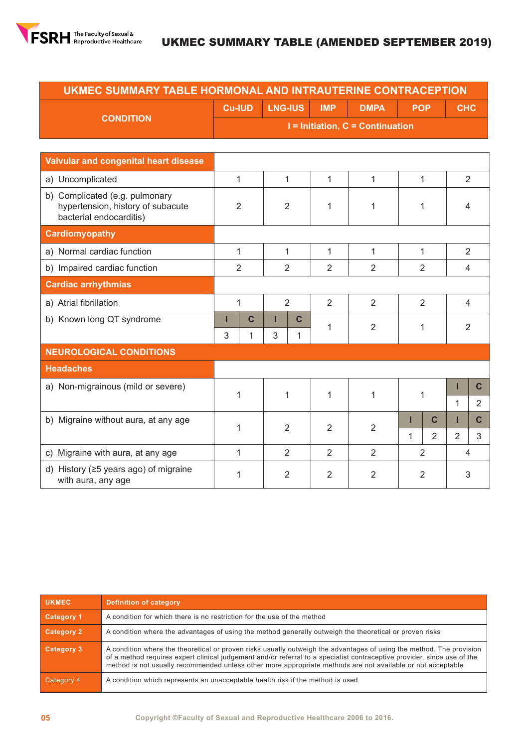

## UKMEC SUMMARY TABLE (AMENDED SEPTEMBER 2019)

| UKMEC SUMMARY TABLE HORMONAL AND INTRAUTERINE CONTRACEPTION |                                      |                |            |             |            |            |  |  |  |
|-------------------------------------------------------------|--------------------------------------|----------------|------------|-------------|------------|------------|--|--|--|
|                                                             | <b>Cu-IUD</b>                        | <b>LNG-IUS</b> | <b>IMP</b> | <b>DMPA</b> | <b>POP</b> | <b>CHC</b> |  |  |  |
| <b>CONDITION</b>                                            | $I =$ Initiation, $C =$ Continuation |                |            |             |            |            |  |  |  |
|                                                             |                                      |                |            |             |            |            |  |  |  |
| Valvular and congenital heart disease                       |                                      |                |            |             |            |            |  |  |  |
|                                                             |                                      |                |            |             |            |            |  |  |  |

| a) Uncomplicated                                                                               |                            | 1 | 1              |                                                    | 1              | 1              |                | 1              | $\overline{2}$ |                |
|------------------------------------------------------------------------------------------------|----------------------------|---|----------------|----------------------------------------------------|----------------|----------------|----------------|----------------|----------------|----------------|
| b) Complicated (e.g. pulmonary<br>hypertension, history of subacute<br>bacterial endocarditis) | 2                          |   | 2              |                                                    | 1              | 1              |                | 1              | 4              |                |
| <b>Cardiomyopathy</b>                                                                          |                            |   |                |                                                    |                |                |                |                |                |                |
| a) Normal cardiac function                                                                     |                            | 1 | 1              |                                                    | 1              | 1              |                | 1              | $\overline{2}$ |                |
| b) Impaired cardiac function                                                                   |                            | 2 | $\overline{2}$ |                                                    | 2              | $\overline{2}$ |                | 2              | $\overline{4}$ |                |
| <b>Cardiac arrhythmias</b>                                                                     |                            |   |                |                                                    |                |                |                |                |                |                |
| a) Atrial fibrillation                                                                         |                            | 1 |                | $\overline{2}$<br>$\overline{2}$<br>$\overline{2}$ |                |                | $\overline{2}$ |                | $\overline{4}$ |                |
| b) Known long QT syndrome                                                                      | $\mathbf c$<br>$\mathbf C$ |   | 1              | $\overline{2}$                                     | 1              |                | $\overline{2}$ |                |                |                |
|                                                                                                | 3                          | 1 | 3              | 1                                                  |                |                |                |                |                |                |
| <b>NEUROLOGICAL CONDITIONS</b>                                                                 |                            |   |                |                                                    |                |                |                |                |                |                |
| <b>Headaches</b>                                                                               |                            |   |                |                                                    |                |                |                |                |                |                |
| a) Non-migrainous (mild or severe)                                                             |                            | 1 | 1              |                                                    | 1              | 1              |                | 1              | ı              | C              |
|                                                                                                |                            |   |                |                                                    |                |                |                |                | 1              | $\overline{2}$ |
| b) Migraine without aura, at any age                                                           |                            | 1 | 2              |                                                    | 2              | 2              | ı              | C              | Ш              | $\mathbf{C}$   |
|                                                                                                |                            |   |                |                                                    |                |                | 1              | $\overline{2}$ | $\overline{2}$ | 3              |
| c) Migraine with aura, at any age                                                              |                            | 1 | $\overline{2}$ |                                                    | $\overline{2}$ | $\overline{2}$ |                | $\overline{2}$ | $\overline{4}$ |                |
| d) History ( $\geq$ 5 years ago) of migraine<br>with aura, any age                             |                            | 1 | 2              |                                                    | $\overline{2}$ | $\overline{2}$ |                | $\overline{2}$ | 3              |                |

| <b>UKMEC</b>      | <b>Definition of category</b>                                                                                                                                                                                                                                                                                                                                  |
|-------------------|----------------------------------------------------------------------------------------------------------------------------------------------------------------------------------------------------------------------------------------------------------------------------------------------------------------------------------------------------------------|
| <b>Category 1</b> | A condition for which there is no restriction for the use of the method                                                                                                                                                                                                                                                                                        |
| <b>Category 2</b> | A condition where the advantages of using the method generally outweigh the theoretical or proven risks                                                                                                                                                                                                                                                        |
| <b>Category 3</b> | A condition where the theoretical or proven risks usually outweigh the advantages of using the method. The provision<br>of a method requires expert clinical judgement and/or referral to a specialist contraceptive provider, since use of the<br>method is not usually recommended unless other more appropriate methods are not available or not acceptable |
| Category 4        | A condition which represents an unacceptable health risk if the method is used                                                                                                                                                                                                                                                                                 |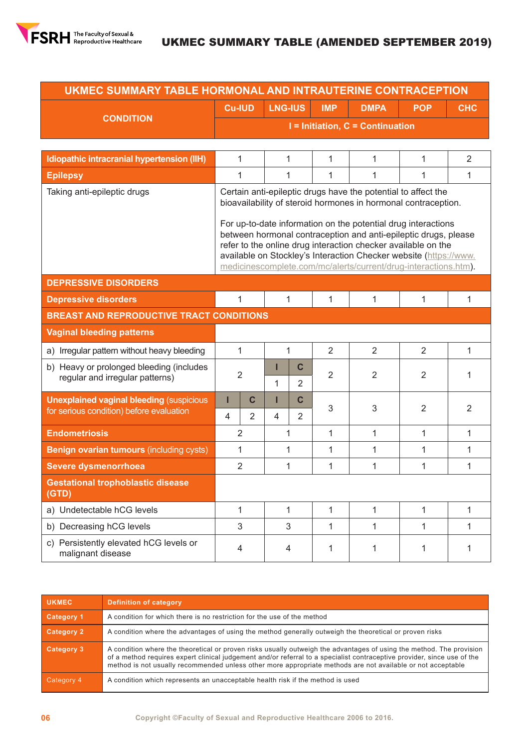

| UKMEC SUMMARY TABLE HORMONAL AND INTRAUTERINE CONTRACEPTION                 |                                                                                                                                                                                                                                                                                                                                                                                                                                                                              |                                                                            |                |                               |   |                |              |                |  |  |  |
|-----------------------------------------------------------------------------|------------------------------------------------------------------------------------------------------------------------------------------------------------------------------------------------------------------------------------------------------------------------------------------------------------------------------------------------------------------------------------------------------------------------------------------------------------------------------|----------------------------------------------------------------------------|----------------|-------------------------------|---|----------------|--------------|----------------|--|--|--|
|                                                                             |                                                                                                                                                                                                                                                                                                                                                                                                                                                                              | <b>LNG-IUS</b><br><b>Cu-IUD</b><br><b>IMP</b><br><b>DMPA</b><br><b>POP</b> |                |                               |   |                |              | <b>CHC</b>     |  |  |  |
| <b>CONDITION</b>                                                            |                                                                                                                                                                                                                                                                                                                                                                                                                                                                              | I = Initiation, C = Continuation                                           |                |                               |   |                |              |                |  |  |  |
|                                                                             |                                                                                                                                                                                                                                                                                                                                                                                                                                                                              |                                                                            |                |                               |   |                |              |                |  |  |  |
| Idiopathic intracranial hypertension (IIH)                                  |                                                                                                                                                                                                                                                                                                                                                                                                                                                                              | 1                                                                          | 1              |                               | 1 | 1              | 1            | 2              |  |  |  |
| <b>Epilepsy</b>                                                             |                                                                                                                                                                                                                                                                                                                                                                                                                                                                              | 1                                                                          | 1              |                               | 1 | 1              | 1            | 1              |  |  |  |
| Taking anti-epileptic drugs                                                 | Certain anti-epileptic drugs have the potential to affect the<br>bioavailability of steroid hormones in hormonal contraception.<br>For up-to-date information on the potential drug interactions<br>between hormonal contraception and anti-epileptic drugs, please<br>refer to the online drug interaction checker available on the<br>available on Stockley's Interaction Checker website (https://www.<br>medicinescomplete.com/mc/alerts/current/drug-interactions.htm). |                                                                            |                |                               |   |                |              |                |  |  |  |
| <b>DEPRESSIVE DISORDERS</b>                                                 |                                                                                                                                                                                                                                                                                                                                                                                                                                                                              |                                                                            |                |                               |   |                |              |                |  |  |  |
| <b>Depressive disorders</b>                                                 |                                                                                                                                                                                                                                                                                                                                                                                                                                                                              | $\mathbf{1}$                                                               | $\mathbf{1}$   |                               | 1 | 1              | 1            | 1              |  |  |  |
| <b>BREAST AND REPRODUCTIVE TRACT CONDITIONS</b>                             |                                                                                                                                                                                                                                                                                                                                                                                                                                                                              |                                                                            |                |                               |   |                |              |                |  |  |  |
| <b>Vaginal bleeding patterns</b>                                            |                                                                                                                                                                                                                                                                                                                                                                                                                                                                              |                                                                            |                |                               |   |                |              |                |  |  |  |
| a) Irregular pattern without heavy bleeding                                 |                                                                                                                                                                                                                                                                                                                                                                                                                                                                              | $\mathbf{1}$                                                               | 1              |                               | 2 | 2              | 2            | 1              |  |  |  |
| b) Heavy or prolonged bleeding (includes<br>regular and irregular patterns) |                                                                                                                                                                                                                                                                                                                                                                                                                                                                              | 2                                                                          | П<br>1         | $\mathbf c$<br>$\overline{2}$ | 2 | $\overline{2}$ | 2            | 1              |  |  |  |
| <b>Unexplained vaginal bleeding (suspicious)</b>                            | П                                                                                                                                                                                                                                                                                                                                                                                                                                                                            | $\mathbf C$                                                                | п              | $\mathbf c$                   |   |                |              |                |  |  |  |
| for serious condition) before evaluation                                    | $\overline{4}$                                                                                                                                                                                                                                                                                                                                                                                                                                                               | $\overline{2}$                                                             | $\overline{4}$ | $\overline{2}$                | 3 | 3              | 2            | $\overline{2}$ |  |  |  |
| <b>Endometriosis</b>                                                        |                                                                                                                                                                                                                                                                                                                                                                                                                                                                              | 2                                                                          | 1              |                               | 1 | 1              | $\mathbf{1}$ | $\mathbf{1}$   |  |  |  |
| <b>Benign ovarian tumours (including cysts)</b>                             |                                                                                                                                                                                                                                                                                                                                                                                                                                                                              | 1                                                                          | 1              |                               | 1 | 1              | 1            | 1              |  |  |  |
| <b>Severe dysmenorrhoea</b>                                                 |                                                                                                                                                                                                                                                                                                                                                                                                                                                                              | $\overline{2}$                                                             | 1              |                               | 1 | 1              | 1            | 1              |  |  |  |
| <b>Gestational trophoblastic disease</b><br>(GTD)                           |                                                                                                                                                                                                                                                                                                                                                                                                                                                                              |                                                                            |                |                               |   |                |              |                |  |  |  |
| a) Undetectable hCG levels                                                  |                                                                                                                                                                                                                                                                                                                                                                                                                                                                              | 1                                                                          | 1              |                               | 1 | 1              | 1            | 1              |  |  |  |
| b) Decreasing hCG levels                                                    |                                                                                                                                                                                                                                                                                                                                                                                                                                                                              | 3                                                                          | 3              |                               | 1 | 1              | $\mathbf{1}$ | 1              |  |  |  |
| c) Persistently elevated hCG levels or<br>malignant disease                 |                                                                                                                                                                                                                                                                                                                                                                                                                                                                              | 4                                                                          | $\overline{4}$ |                               | 1 | 1              | 1            | 1              |  |  |  |

| <b>UKMEC</b> | <b>Definition of category</b>                                                                                                                                                                                                                                                                                                                                  |
|--------------|----------------------------------------------------------------------------------------------------------------------------------------------------------------------------------------------------------------------------------------------------------------------------------------------------------------------------------------------------------------|
| Category 1   | A condition for which there is no restriction for the use of the method                                                                                                                                                                                                                                                                                        |
| Category 2   | A condition where the advantages of using the method generally outweigh the theoretical or proven risks                                                                                                                                                                                                                                                        |
| Category 3   | A condition where the theoretical or proven risks usually outweigh the advantages of using the method. The provision<br>of a method requires expert clinical judgement and/or referral to a specialist contraceptive provider, since use of the<br>method is not usually recommended unless other more appropriate methods are not available or not acceptable |
| Category 4   | A condition which represents an unacceptable health risk if the method is used                                                                                                                                                                                                                                                                                 |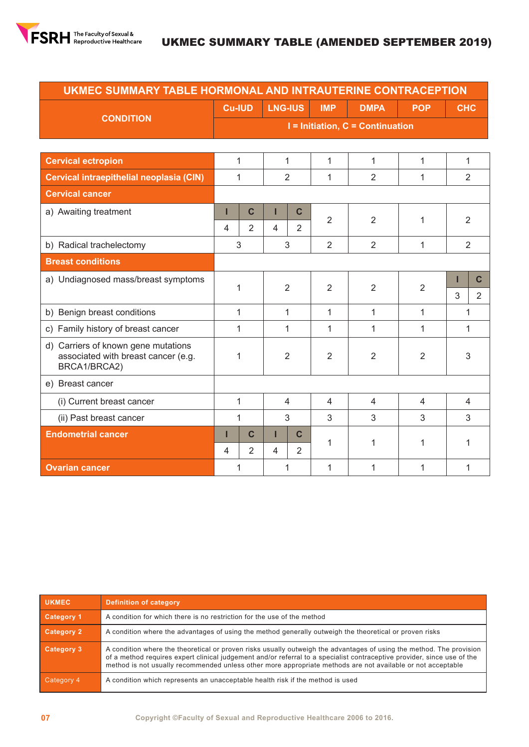

| UKMEC SUMMARY TABLE HORMONAL AND INTRAUTERINE CONTRACEPTION                |                |                |                                  |                |                |                |                |                     |  |
|----------------------------------------------------------------------------|----------------|----------------|----------------------------------|----------------|----------------|----------------|----------------|---------------------|--|
|                                                                            | <b>Cu-IUD</b>  |                | <b>LNG-IUS</b>                   |                | <b>IMP</b>     | <b>DMPA</b>    | <b>POP</b>     | <b>CHC</b>          |  |
| <b>CONDITION</b>                                                           |                |                | I = Initiation, C = Continuation |                |                |                |                |                     |  |
|                                                                            |                |                |                                  |                |                |                |                |                     |  |
| <b>Cervical ectropion</b>                                                  | $\mathbf{1}$   |                | $\mathbf{1}$                     |                | 1              | 1              | 1              | 1                   |  |
| Cervical intraepithelial neoplasia (CIN)                                   |                | 1              | $\overline{2}$                   |                | 1              | $\overline{2}$ | $\mathbf{1}$   | $\overline{2}$      |  |
| <b>Cervical cancer</b>                                                     |                |                |                                  |                |                |                |                |                     |  |
| a) Awaiting treatment                                                      | ı              | $\mathbf c$    | ı                                | $\mathbf c$    | $\overline{2}$ | $\overline{2}$ | 1              | $\overline{2}$      |  |
|                                                                            | $\overline{4}$ | $\overline{2}$ | 4                                | $\overline{2}$ |                |                |                |                     |  |
| b) Radical trachelectomy                                                   | 3              |                | 3                                |                | $\overline{2}$ | $\overline{2}$ | 1              | $\overline{2}$      |  |
| <b>Breast conditions</b>                                                   |                |                |                                  |                |                |                |                |                     |  |
| a) Undiagnosed mass/breast symptoms                                        | 1              |                | $\overline{2}$                   |                | $\overline{2}$ | $\overline{2}$ | $\overline{2}$ | $\mathbf C$<br>Ш    |  |
|                                                                            |                |                |                                  |                |                |                |                | 3<br>$\overline{2}$ |  |
| b) Benign breast conditions                                                |                | $\mathbf{1}$   | 1                                |                | 1              | 1              | 1              | 1                   |  |
| c) Family history of breast cancer                                         |                | $\mathbf{1}$   | 1                                |                | 1              | 1              | $\mathbf{1}$   | 1                   |  |
| d) Carriers of known gene mutations<br>associated with breast cancer (e.g. |                | 1              | $\overline{2}$                   |                | $\overline{2}$ | $\overline{2}$ | $\overline{2}$ | 3                   |  |
| BRCA1/BRCA2)                                                               |                |                |                                  |                |                |                |                |                     |  |
| e) Breast cancer                                                           |                |                |                                  |                |                |                |                |                     |  |
| (i) Current breast cancer                                                  | 1              |                | $\overline{4}$                   |                | $\overline{4}$ | $\overline{4}$ | 4              | $\overline{4}$      |  |
| (ii) Past breast cancer                                                    | 1              |                | 3                                |                | 3              | 3              | 3              | 3                   |  |
| <b>Endometrial cancer</b>                                                  | П              | $\mathbf c$    | П                                | $\mathbf C$    | 1              | 1              | 1              | 1                   |  |
|                                                                            | $\overline{4}$ | $\overline{2}$ | $\overline{4}$                   | $\overline{2}$ |                |                |                |                     |  |
| <b>Ovarian cancer</b>                                                      | 1              |                | 1                                |                | $\mathbf{1}$   | 1              | $\mathbf{1}$   | 1                   |  |

| <b>UKMEC</b>      | <b>Definition of category</b>                                                                                                                                                                                                                                                                                                                                  |
|-------------------|----------------------------------------------------------------------------------------------------------------------------------------------------------------------------------------------------------------------------------------------------------------------------------------------------------------------------------------------------------------|
| <b>Category 1</b> | A condition for which there is no restriction for the use of the method                                                                                                                                                                                                                                                                                        |
| Category 2        | A condition where the advantages of using the method generally outweigh the theoretical or proven risks                                                                                                                                                                                                                                                        |
| Category 3        | A condition where the theoretical or proven risks usually outweigh the advantages of using the method. The provision<br>of a method requires expert clinical judgement and/or referral to a specialist contraceptive provider, since use of the<br>method is not usually recommended unless other more appropriate methods are not available or not acceptable |
| Category 4        | A condition which represents an unacceptable health risk if the method is used                                                                                                                                                                                                                                                                                 |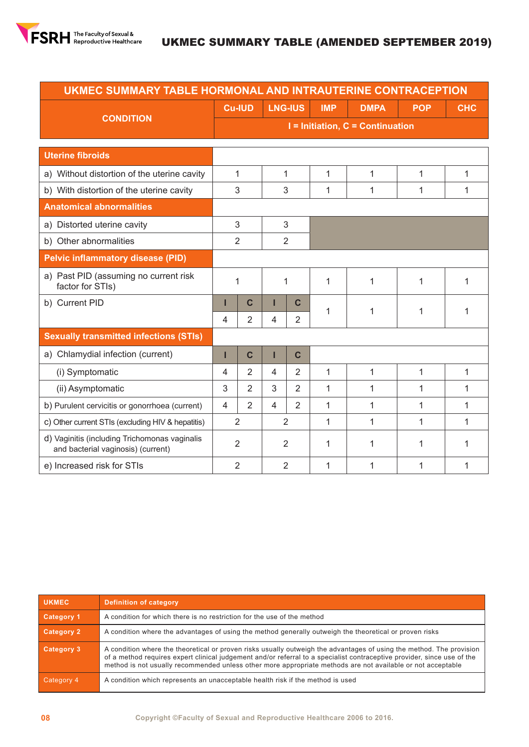

| UKMEC SUMMARY TABLE HORMONAL AND INTRAUTERINE CONTRACEPTION                         |                |                                      |                          |                |            |              |              |              |  |  |  |
|-------------------------------------------------------------------------------------|----------------|--------------------------------------|--------------------------|----------------|------------|--------------|--------------|--------------|--|--|--|
|                                                                                     |                | <b>Cu-IUD</b>                        |                          | <b>LNG-IUS</b> | <b>IMP</b> | <b>DMPA</b>  | <b>POP</b>   | <b>CHC</b>   |  |  |  |
| <b>CONDITION</b>                                                                    |                | $I =$ Initiation, $C =$ Continuation |                          |                |            |              |              |              |  |  |  |
|                                                                                     |                |                                      |                          |                |            |              |              |              |  |  |  |
| <b>Uterine fibroids</b>                                                             |                |                                      |                          |                |            |              |              |              |  |  |  |
| a) Without distortion of the uterine cavity                                         |                | 1                                    |                          | 1              | 1          | 1            | $\mathbf{1}$ | $\mathbf{1}$ |  |  |  |
| b) With distortion of the uterine cavity                                            |                | 3                                    |                          | 3              | 1          | 1            | 1            | 1            |  |  |  |
| <b>Anatomical abnormalities</b>                                                     |                |                                      |                          |                |            |              |              |              |  |  |  |
| a) Distorted uterine cavity                                                         |                | 3                                    |                          | 3              |            |              |              |              |  |  |  |
| b) Other abnormalities                                                              |                | $\overline{2}$                       |                          | $\overline{2}$ |            |              |              |              |  |  |  |
| <b>Pelvic inflammatory disease (PID)</b>                                            |                |                                      |                          |                |            |              |              |              |  |  |  |
| a) Past PID (assuming no current risk<br>factor for STIs)                           | 1              |                                      |                          | 1              | 1          | 1            | 1            | 1            |  |  |  |
| b) Current PID                                                                      | п              | $\mathbf C$                          |                          | $\mathbf c$    | 1          | 1            | 1            | 1            |  |  |  |
|                                                                                     | $\overline{4}$ | $\overline{2}$                       | 4                        | 2              |            |              |              |              |  |  |  |
| <b>Sexually transmitted infections (STIs)</b>                                       |                |                                      |                          |                |            |              |              |              |  |  |  |
| a) Chlamydial infection (current)                                                   | П              | $\mathbf C$                          |                          | $\mathbf C$    |            |              |              |              |  |  |  |
| (i) Symptomatic                                                                     | $\overline{4}$ | 2                                    | 4                        | $\overline{2}$ | 1          | 1            | 1            | 1            |  |  |  |
| (ii) Asymptomatic                                                                   | 3              | 2                                    | 3                        | $\overline{2}$ | 1          | 1            | $\mathbf{1}$ | $\mathbf{1}$ |  |  |  |
| b) Purulent cervicitis or gonorrhoea (current)                                      | $\overline{4}$ | $\overline{2}$                       | $\overline{\mathcal{L}}$ | $\overline{2}$ | 1          | $\mathbf{1}$ | 1            | 1            |  |  |  |
| c) Other current STIs (excluding HIV & hepatitis)                                   | $\overline{2}$ |                                      | $\overline{2}$           |                | 1          | 1            | 1            | 1            |  |  |  |
| d) Vaginitis (including Trichomonas vaginalis<br>and bacterial vaginosis) (current) | $\overline{2}$ |                                      | 2                        |                | 1          | 1            | 1            | 1            |  |  |  |
| e) Increased risk for STIs                                                          |                | $\overline{2}$                       |                          | $\overline{2}$ | 1          | 1            | 1            | 1            |  |  |  |

| <b>UKMEC</b>      | <b>Definition of category</b>                                                                                                                                                                                                                                                                                                                                  |
|-------------------|----------------------------------------------------------------------------------------------------------------------------------------------------------------------------------------------------------------------------------------------------------------------------------------------------------------------------------------------------------------|
| Category 1        | A condition for which there is no restriction for the use of the method                                                                                                                                                                                                                                                                                        |
| <b>Category 2</b> | A condition where the advantages of using the method generally outweigh the theoretical or proven risks                                                                                                                                                                                                                                                        |
| <b>Category 3</b> | A condition where the theoretical or proven risks usually outweigh the advantages of using the method. The provision<br>of a method requires expert clinical judgement and/or referral to a specialist contraceptive provider, since use of the<br>method is not usually recommended unless other more appropriate methods are not available or not acceptable |
| Category 4        | A condition which represents an unacceptable health risk if the method is used                                                                                                                                                                                                                                                                                 |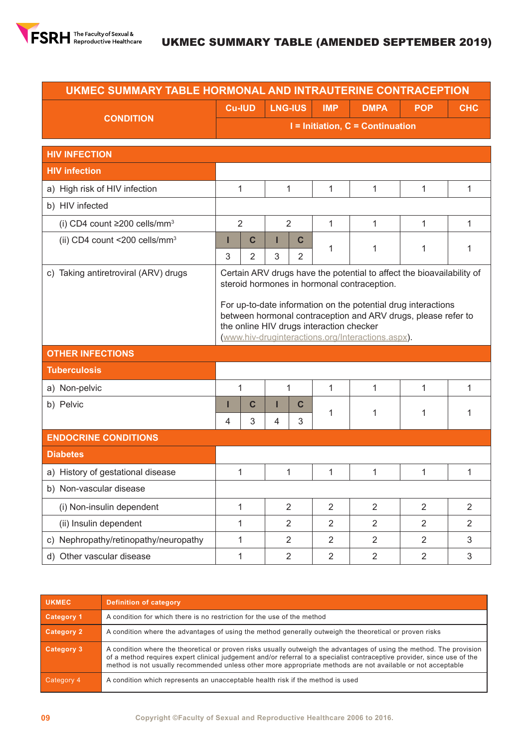

## UKMEC SUMMARY TABLE (AMENDED SEPTEMBER 2019)

| UKMEC SUMMARY TABLE HORMONAL AND INTRAUTERINE CONTRACEPTION |                                                                                                                                                                                                                                 |                                      |                |                |                |                |                |                |  |  |
|-------------------------------------------------------------|---------------------------------------------------------------------------------------------------------------------------------------------------------------------------------------------------------------------------------|--------------------------------------|----------------|----------------|----------------|----------------|----------------|----------------|--|--|
| <b>CONDITION</b>                                            |                                                                                                                                                                                                                                 | <b>Cu-IUD</b>                        | <b>LNG-IUS</b> |                | <b>IMP</b>     | <b>DMPA</b>    | <b>POP</b>     | <b>CHC</b>     |  |  |
|                                                             |                                                                                                                                                                                                                                 | $I =$ Initiation, $C =$ Continuation |                |                |                |                |                |                |  |  |
| <b>HIV INFECTION</b>                                        |                                                                                                                                                                                                                                 |                                      |                |                |                |                |                |                |  |  |
| <b>HIV infection</b>                                        |                                                                                                                                                                                                                                 |                                      |                |                |                |                |                |                |  |  |
| a) High risk of HIV infection                               |                                                                                                                                                                                                                                 | 1                                    | 1              |                | 1              | 1              | 1              | $\mathbf{1}$   |  |  |
| b) HIV infected                                             |                                                                                                                                                                                                                                 |                                      |                |                |                |                |                |                |  |  |
| (i) CD4 count $\geq$ 200 cells/mm <sup>3</sup>              | $\overline{2}$                                                                                                                                                                                                                  |                                      | $\overline{2}$ |                | 1              | 1              | 1              | 1              |  |  |
| (ii) CD4 count <200 cells/mm <sup>3</sup>                   | ı                                                                                                                                                                                                                               | $\mathbf c$                          | Ш              | $\mathbf c$    | 1              | 1              | 1              | 1              |  |  |
|                                                             | 3                                                                                                                                                                                                                               | $\overline{2}$                       | 3              | $\overline{2}$ |                |                |                |                |  |  |
| c) Taking antiretroviral (ARV) drugs                        | Certain ARV drugs have the potential to affect the bioavailability of<br>steroid hormones in hormonal contraception.                                                                                                            |                                      |                |                |                |                |                |                |  |  |
|                                                             | For up-to-date information on the potential drug interactions<br>between hormonal contraception and ARV drugs, please refer to<br>the online HIV drugs interaction checker<br>(www.hiv-druginteractions.org/Interactions.aspx). |                                      |                |                |                |                |                |                |  |  |
| <b>OTHER INFECTIONS</b>                                     |                                                                                                                                                                                                                                 |                                      |                |                |                |                |                |                |  |  |
| <b>Tuberculosis</b>                                         |                                                                                                                                                                                                                                 |                                      |                |                |                |                |                |                |  |  |
| a) Non-pelvic                                               |                                                                                                                                                                                                                                 | 1                                    | 1              |                | 1              | 1              | 1              | 1              |  |  |
| b) Pelvic                                                   | Ш                                                                                                                                                                                                                               | $\mathbf C$                          | Ш              | C              | 1              | 1              | 1              | 1              |  |  |
|                                                             | $\overline{4}$                                                                                                                                                                                                                  | 3                                    | 4              | 3              |                |                |                |                |  |  |
| <b>ENDOCRINE CONDITIONS</b>                                 |                                                                                                                                                                                                                                 |                                      |                |                |                |                |                |                |  |  |
| <b>Diabetes</b>                                             |                                                                                                                                                                                                                                 |                                      |                |                |                |                |                |                |  |  |
| a) History of gestational disease                           |                                                                                                                                                                                                                                 | 1                                    | 1              |                | 1              | 1              | 1              | 1              |  |  |
| b) Non-vascular disease                                     |                                                                                                                                                                                                                                 |                                      |                |                |                |                |                |                |  |  |
| (i) Non-insulin dependent                                   |                                                                                                                                                                                                                                 | $\mathbf{1}$                         | $\overline{2}$ |                | $\overline{2}$ | $\overline{2}$ | $\overline{2}$ | $\overline{2}$ |  |  |
| (ii) Insulin dependent                                      |                                                                                                                                                                                                                                 | 1                                    | $\overline{2}$ |                | $\overline{2}$ | $\overline{2}$ | $\overline{2}$ | $\overline{2}$ |  |  |
| c) Nephropathy/retinopathy/neuropathy                       |                                                                                                                                                                                                                                 | 1                                    | $\overline{2}$ |                | $\overline{2}$ | $\overline{2}$ | $\overline{2}$ | 3              |  |  |
| d) Other vascular disease                                   |                                                                                                                                                                                                                                 | $\mathbf{1}$                         | $\overline{2}$ |                | $\overline{2}$ | $\overline{2}$ | $\overline{2}$ | $\mathfrak{S}$ |  |  |

| <b>UKMEC</b>      | <b>Definition of category</b>                                                                                                                                                                                                                                                                                                                                  |
|-------------------|----------------------------------------------------------------------------------------------------------------------------------------------------------------------------------------------------------------------------------------------------------------------------------------------------------------------------------------------------------------|
| <b>Category 1</b> | A condition for which there is no restriction for the use of the method                                                                                                                                                                                                                                                                                        |
| Category 2        | A condition where the advantages of using the method generally outweigh the theoretical or proven risks                                                                                                                                                                                                                                                        |
| Category 3        | A condition where the theoretical or proven risks usually outweigh the advantages of using the method. The provision<br>of a method requires expert clinical judgement and/or referral to a specialist contraceptive provider, since use of the<br>method is not usually recommended unless other more appropriate methods are not available or not acceptable |
| Category 4        | A condition which represents an unacceptable health risk if the method is used                                                                                                                                                                                                                                                                                 |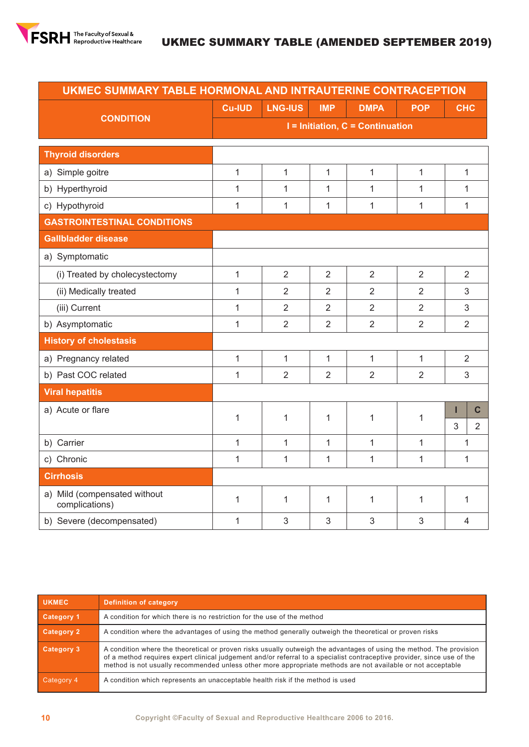

|                                                | UKMEC SUMMARY TABLE HORMONAL AND INTRAUTERINE CONTRACEPTION |                                  |                |                |                |                |                |  |  |  |
|------------------------------------------------|-------------------------------------------------------------|----------------------------------|----------------|----------------|----------------|----------------|----------------|--|--|--|
|                                                | <b>Cu-IUD</b>                                               | <b>LNG-IUS</b>                   | <b>IMP</b>     | <b>DMPA</b>    | <b>POP</b>     | <b>CHC</b>     |                |  |  |  |
| <b>CONDITION</b>                               |                                                             | I = Initiation, C = Continuation |                |                |                |                |                |  |  |  |
| <b>Thyroid disorders</b>                       |                                                             |                                  |                |                |                |                |                |  |  |  |
| a) Simple goitre                               | $\mathbf{1}$                                                | 1                                | 1              | $\mathbf{1}$   | $\mathbf{1}$   | 1              |                |  |  |  |
| b) Hyperthyroid                                | 1                                                           | 1                                | 1              | 1              | $\mathbf{1}$   | 1              |                |  |  |  |
| c) Hypothyroid                                 | $\mathbf{1}$                                                | 1                                | 1              | $\mathbf{1}$   | $\mathbf{1}$   | 1              |                |  |  |  |
| <b>GASTROINTESTINAL CONDITIONS</b>             |                                                             |                                  |                |                |                |                |                |  |  |  |
| <b>Gallbladder disease</b>                     |                                                             |                                  |                |                |                |                |                |  |  |  |
| a) Symptomatic                                 |                                                             |                                  |                |                |                |                |                |  |  |  |
| (i) Treated by cholecystectomy                 | 1                                                           | $\overline{2}$                   | $\overline{2}$ | $\overline{2}$ | $\overline{2}$ | $\overline{2}$ |                |  |  |  |
| (ii) Medically treated                         | 1                                                           | $\overline{2}$                   | $\overline{2}$ | 2              | $\overline{2}$ | 3              |                |  |  |  |
| (iii) Current                                  | $\mathbf{1}$                                                | $\overline{2}$                   | $\overline{2}$ | $\overline{2}$ | $\overline{2}$ | 3              |                |  |  |  |
| b) Asymptomatic                                | $\overline{1}$                                              | $\overline{2}$                   | $\overline{2}$ | $\overline{2}$ | $\overline{2}$ | $\overline{2}$ |                |  |  |  |
| <b>History of cholestasis</b>                  |                                                             |                                  |                |                |                |                |                |  |  |  |
| a) Pregnancy related                           | $\mathbf{1}$                                                | $\mathbf{1}$                     | 1              | 1              | $\mathbf{1}$   | $\overline{2}$ |                |  |  |  |
| b) Past COC related                            | 1                                                           | $\overline{2}$                   | 2              | $\overline{2}$ | $\overline{2}$ | 3              |                |  |  |  |
| <b>Viral hepatitis</b>                         |                                                             |                                  |                |                |                |                |                |  |  |  |
| a) Acute or flare                              | 1                                                           | 1                                | 1              | $\mathbf{1}$   | $\mathbf{1}$   | I              | $\mathbf c$    |  |  |  |
|                                                |                                                             |                                  |                |                |                | $\overline{3}$ | $\overline{2}$ |  |  |  |
| b) Carrier                                     | 1                                                           | 1                                | 1              | $\mathbf{1}$   | $\mathbf{1}$   | 1              |                |  |  |  |
| c) Chronic                                     | 1                                                           | 1                                | $\mathbf{1}$   | $\mathbf{1}$   | 1              | 1              |                |  |  |  |
| <b>Cirrhosis</b>                               |                                                             |                                  |                |                |                |                |                |  |  |  |
| a) Mild (compensated without<br>complications) | $\mathbf 1$                                                 | 1                                | 1              | $\mathbf{1}$   | $\mathbf{1}$   | 1              |                |  |  |  |
| b) Severe (decompensated)                      | 1                                                           | 3                                | 3              | 3              | 3              | $\overline{4}$ |                |  |  |  |

| <b>UKMEC</b>      | <b>Definition of category</b>                                                                                                                                                                                                                                                                                                                                  |
|-------------------|----------------------------------------------------------------------------------------------------------------------------------------------------------------------------------------------------------------------------------------------------------------------------------------------------------------------------------------------------------------|
| <b>Category 1</b> | A condition for which there is no restriction for the use of the method                                                                                                                                                                                                                                                                                        |
| <b>Category 2</b> | A condition where the advantages of using the method generally outweigh the theoretical or proven risks                                                                                                                                                                                                                                                        |
| Category 3        | A condition where the theoretical or proven risks usually outweigh the advantages of using the method. The provision<br>of a method requires expert clinical judgement and/or referral to a specialist contraceptive provider, since use of the<br>method is not usually recommended unless other more appropriate methods are not available or not acceptable |
| Category 4        | A condition which represents an unacceptable health risk if the method is used                                                                                                                                                                                                                                                                                 |